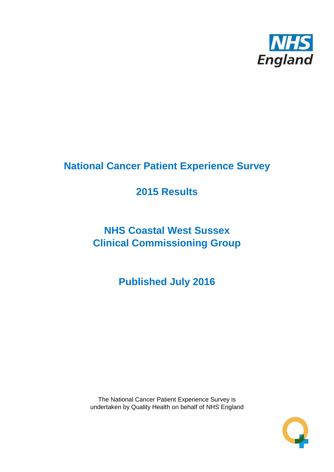

# **National Cancer Patient Experience Survey**

# **2015 Results**

# **NHS Coastal West Sussex Clinical Commissioning Group**

**Published July 2016**

The National Cancer Patient Experience Survey is undertaken by Quality Health on behalf of NHS England

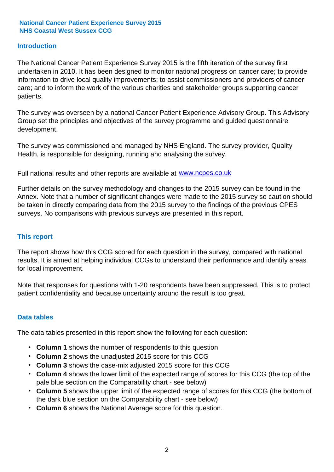## **Introduction**

The National Cancer Patient Experience Survey 2015 is the fifth iteration of the survey first undertaken in 2010. It has been designed to monitor national progress on cancer care; to provide information to drive local quality improvements; to assist commissioners and providers of cancer care; and to inform the work of the various charities and stakeholder groups supporting cancer patients.

The survey was overseen by a national Cancer Patient Experience Advisory Group. This Advisory Group set the principles and objectives of the survey programme and guided questionnaire development.

The survey was commissioned and managed by NHS England. The survey provider, Quality Health, is responsible for designing, running and analysing the survey.

Full national results and other reports are available at www.ncpes.co.uk

Further details on the survey methodology and changes to the 2015 survey can be found in the Annex. Note that a number of significant changes were made to the 2015 survey so caution should be taken in directly comparing data from the 2015 survey to the findings of the previous CPES surveys. No comparisons with previous surveys are presented in this report.

### **This report**

The report shows how this CCG scored for each question in the survey, compared with national results. It is aimed at helping individual CCGs to understand their performance and identify areas for local improvement.

Note that responses for questions with 1-20 respondents have been suppressed. This is to protect patient confidentiality and because uncertainty around the result is too great.

### **Data tables**

The data tables presented in this report show the following for each question:

- **Column 1** shows the number of respondents to this question
- **Column 2** shows the unadjusted 2015 score for this CCG
- **Column 3** shows the case-mix adjusted 2015 score for this CCG
- **Column 4** shows the lower limit of the expected range of scores for this CCG (the top of the pale blue section on the Comparability chart - see below)
- **Column 5** shows the upper limit of the expected range of scores for this CCG (the bottom of the dark blue section on the Comparability chart - see below)
- **Column 6** shows the National Average score for this question.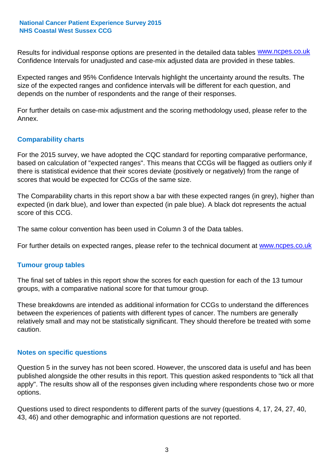Results for individual response options are presented in the detailed data tables **WWW.ncpes.co.uk** Confidence Intervals for unadjusted and case-mix adjusted data are provided in these tables.

Expected ranges and 95% Confidence Intervals highlight the uncertainty around the results. The size of the expected ranges and confidence intervals will be different for each question, and depends on the number of respondents and the range of their responses.

For further details on case-mix adjustment and the scoring methodology used, please refer to the Annex.

## **Comparability charts**

For the 2015 survey, we have adopted the CQC standard for reporting comparative performance, based on calculation of "expected ranges". This means that CCGs will be flagged as outliers only if there is statistical evidence that their scores deviate (positively or negatively) from the range of scores that would be expected for CCGs of the same size.

The Comparability charts in this report show a bar with these expected ranges (in grey), higher than expected (in dark blue), and lower than expected (in pale blue). A black dot represents the actual score of this CCG.

The same colour convention has been used in Column 3 of the Data tables.

For further details on expected ranges, please refer to the technical document at **www.ncpes.co.uk** 

### **Tumour group tables**

The final set of tables in this report show the scores for each question for each of the 13 tumour groups, with a comparative national score for that tumour group.

These breakdowns are intended as additional information for CCGs to understand the differences between the experiences of patients with different types of cancer. The numbers are generally relatively small and may not be statistically significant. They should therefore be treated with some caution.

### **Notes on specific questions**

Question 5 in the survey has not been scored. However, the unscored data is useful and has been published alongside the other results in this report. This question asked respondents to "tick all that apply". The results show all of the responses given including where respondents chose two or more options.

Questions used to direct respondents to different parts of the survey (questions 4, 17, 24, 27, 40, 43, 46) and other demographic and information questions are not reported.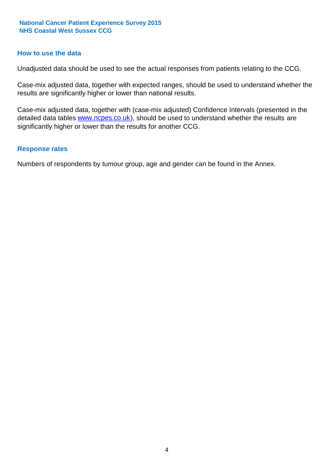### **How to use the data**

Unadjusted data should be used to see the actual responses from patients relating to the CCG.

Case-mix adjusted data, together with expected ranges, should be used to understand whether the results are significantly higher or lower than national results.

Case-mix adjusted data, together with (case-mix adjusted) Confidence Intervals (presented in the detailed data tables **www.ncpes.co.uk**), should be used to understand whether the results are significantly higher or lower than the results for another CCG.

#### **Response rates**

Numbers of respondents by tumour group, age and gender can be found in the Annex.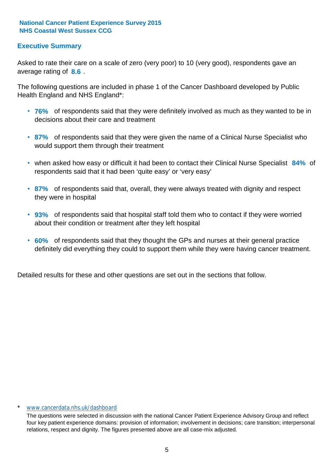# **Executive Summary**

average rating of 8.6. Asked to rate their care on a scale of zero (very poor) to 10 (very good), respondents gave an

The following questions are included in phase 1 of the Cancer Dashboard developed by Public Health England and NHS England\*:

- **76%** of respondents said that they were definitely involved as much as they wanted to be in decisions about their care and treatment
- **87%** of respondents said that they were given the name of a Clinical Nurse Specialist who would support them through their treatment
- when asked how easy or difficult it had been to contact their Clinical Nurse Specialist 84% of respondents said that it had been 'quite easy' or 'very easy'
- **87%** of respondents said that, overall, they were always treated with dignity and respect they were in hospital
- **93%** of respondents said that hospital staff told them who to contact if they were worried about their condition or treatment after they left hospital
- **60%** of respondents said that they thought the GPs and nurses at their general practice definitely did everything they could to support them while they were having cancer treatment.

Detailed results for these and other questions are set out in the sections that follow.

#### \* www.cancerdata.nhs.uk/dashboard

The questions were selected in discussion with the national Cancer Patient Experience Advisory Group and reflect four key patient experience domains: provision of information; involvement in decisions; care transition; interpersonal relations, respect and dignity. The figures presented above are all case-mix adjusted.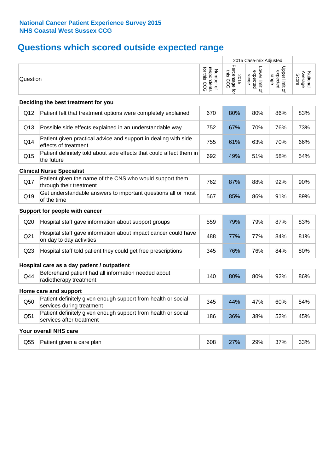# **Questions which scored outside expected range**

|                 |                                                                                            |                                          | 2015 Case-mix Adjusted                  |                                     |                                     |                              |
|-----------------|--------------------------------------------------------------------------------------------|------------------------------------------|-----------------------------------------|-------------------------------------|-------------------------------------|------------------------------|
| Question        |                                                                                            | respondents<br>for this CCG<br>Number of | Percentage f<br>this CCG<br>2015<br>ਹੁੰ | Lower limit of<br>expected<br>range | Upper limit of<br>expected<br>range | National<br>Average<br>Score |
|                 | Deciding the best treatment for you                                                        |                                          |                                         |                                     |                                     |                              |
| Q12             | Patient felt that treatment options were completely explained                              | 670                                      | 80%                                     | 80%                                 | 86%                                 | 83%                          |
| Q13             | Possible side effects explained in an understandable way                                   | 752                                      | 67%                                     | 70%                                 | 76%                                 | 73%                          |
| Q14             | Patient given practical advice and support in dealing with side<br>effects of treatment    | 755                                      | 61%                                     | 63%                                 | 70%                                 | 66%                          |
| Q <sub>15</sub> | Patient definitely told about side effects that could affect them in<br>the future         | 692                                      | 49%                                     | 51%                                 | 58%                                 | 54%                          |
|                 | <b>Clinical Nurse Specialist</b>                                                           |                                          |                                         |                                     |                                     |                              |
| Q17             | Patient given the name of the CNS who would support them<br>through their treatment        | 762                                      | 87%                                     | 88%                                 | 92%                                 | 90%                          |
| Q19             | Get understandable answers to important questions all or most<br>of the time               | 567                                      | 85%                                     | 86%                                 | 91%                                 | 89%                          |
|                 | Support for people with cancer                                                             |                                          |                                         |                                     |                                     |                              |
| Q20             | Hospital staff gave information about support groups                                       | 559                                      | 79%                                     | 79%                                 | 87%                                 | 83%                          |
| Q <sub>21</sub> | Hospital staff gave information about impact cancer could have<br>on day to day activities | 488                                      | 77%                                     | 77%                                 | 84%                                 | 81%                          |
| Q <sub>23</sub> | Hospital staff told patient they could get free prescriptions                              | 345                                      | 76%                                     | 76%                                 | 84%                                 | 80%                          |
|                 | Hospital care as a day patient / outpatient                                                |                                          |                                         |                                     |                                     |                              |
| Q44             | Beforehand patient had all information needed about<br>radiotherapy treatment              | 140                                      | 80%                                     | 80%                                 | 92%                                 | 86%                          |
|                 | Home care and support                                                                      |                                          |                                         |                                     |                                     |                              |
| Q50             | Patient definitely given enough support from health or social<br>services during treatment | 345                                      | 44%                                     | 47%                                 | 60%                                 | 54%                          |
| Q51             | Patient definitely given enough support from health or social<br>services after treatment  | 186                                      | 36%                                     | 38%                                 | 52%                                 | 45%                          |
|                 | Your overall NHS care                                                                      |                                          |                                         |                                     |                                     |                              |
| Q55             | Patient given a care plan                                                                  | 608                                      | 27%                                     | 29%                                 | 37%                                 | 33%                          |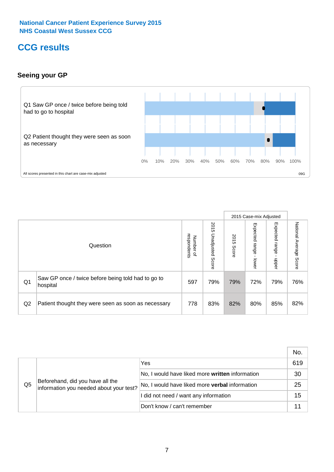# **CCG results**

# **Seeing your GP**



|    |                                                                |                                         |                             |               | 2015 Case-mix Adjusted     |                            |                           |
|----|----------------------------------------------------------------|-----------------------------------------|-----------------------------|---------------|----------------------------|----------------------------|---------------------------|
|    | Question                                                       | respondents<br>Number<br>$\overline{a}$ | 2015<br>Unadjusted<br>Score | 2015<br>Score | Expected<br>range<br>lower | Expected<br>range<br>nbber | National Average<br>Score |
| Q1 | Saw GP once / twice before being told had to go to<br>hospital | 597                                     | 79%                         | 79%           | 72%                        | 79%                        | 76%                       |
| Q2 | Patient thought they were seen as soon as necessary            | 778                                     | 83%                         | 82%           | 80%                        | 85%                        | 82%                       |

|                |                                                                             |                                                 | No. |
|----------------|-----------------------------------------------------------------------------|-------------------------------------------------|-----|
|                | Beforehand, did you have all the<br>information you needed about your test? | Yes                                             | 619 |
|                |                                                                             | No, I would have liked more written information | 30  |
| Q <sub>5</sub> |                                                                             | No, I would have liked more verbal information  | 25  |
|                |                                                                             | I did not need / want any information           | 15  |
|                |                                                                             | Don't know / can't remember                     |     |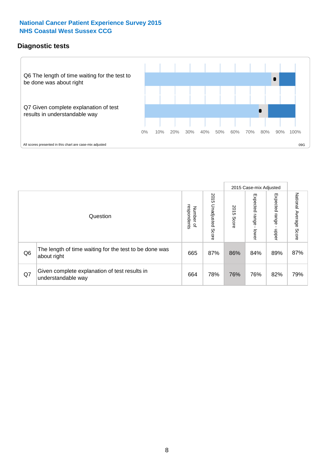# **Diagnostic tests**



|                |                                                                       |                                       |                             |               | 2015 Case-mix Adjusted       |                         |                           |
|----------------|-----------------------------------------------------------------------|---------------------------------------|-----------------------------|---------------|------------------------------|-------------------------|---------------------------|
|                | Question                                                              | respondents<br>Number<br>$\mathbf{Q}$ | 2015<br>Unadjusted<br>Score | 2015<br>Score | Expected<br>I range<br>lower | Expected range<br>nbber | National Average<br>Score |
| Q <sub>6</sub> | The length of time waiting for the test to be done was<br>about right | 665                                   | 87%                         | 86%           | 84%                          | 89%                     | 87%                       |
| Q7             | Given complete explanation of test results in<br>understandable way   | 664                                   | 78%                         | 76%           | 76%                          | 82%                     | 79%                       |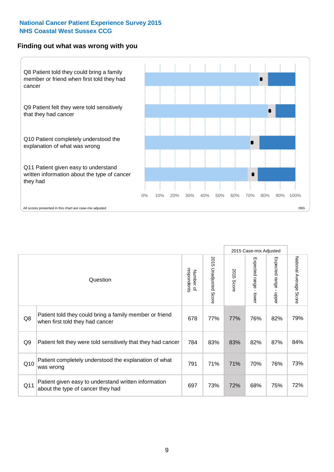### **Finding out what was wrong with you**



|                 |                                                                                            |                          |                       |               | 2015 Case-mix Adjusted |                                         |                        |
|-----------------|--------------------------------------------------------------------------------------------|--------------------------|-----------------------|---------------|------------------------|-----------------------------------------|------------------------|
|                 | Question                                                                                   | respondents<br>Number of | 2015 Unadjusted Score | 2015<br>Score | Expected range - lower | Expected range<br>$\mathbf{r}$<br>nbber | National Average Score |
| Q8              | Patient told they could bring a family member or friend<br>when first told they had cancer | 678                      | 77%                   | 77%           | 76%                    | 82%                                     | 79%                    |
| Q <sub>9</sub>  | Patient felt they were told sensitively that they had cancer                               | 784                      | 83%                   | 83%           | 82%                    | 87%                                     | 84%                    |
| Q10             | Patient completely understood the explanation of what<br>was wrong                         | 791                      | 71%                   | 71%           | 70%                    | 76%                                     | 73%                    |
| Q <sub>11</sub> | Patient given easy to understand written information<br>about the type of cancer they had  | 697                      | 73%                   | 72%           | 68%                    | 75%                                     | 72%                    |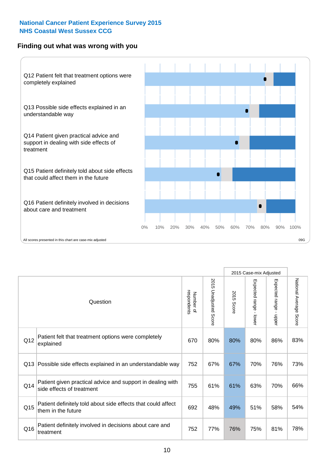# **Finding out what was wrong with you**



|          |                                                                                         |                          |                                 |               | 2015 Case-mix Adjusted                  |                           |                        |
|----------|-----------------------------------------------------------------------------------------|--------------------------|---------------------------------|---------------|-----------------------------------------|---------------------------|------------------------|
| Question |                                                                                         | Number of<br>respondents | 2015<br><b>Unadjusted Score</b> | 2015<br>Score | Expected range<br>$\mathbf{I}$<br>lower | Expected range -<br>nbber | National Average Score |
| Q12      | Patient felt that treatment options were completely<br>explained                        | 670                      | 80%                             | 80%           | 80%                                     | 86%                       | 83%                    |
| Q13      | Possible side effects explained in an understandable way                                | 752                      | 67%                             | 67%           | 70%                                     | 76%                       | 73%                    |
| Q14      | Patient given practical advice and support in dealing with<br>side effects of treatment | 755                      | 61%                             | 61%           | 63%                                     | 70%                       | 66%                    |
| Q15      | Patient definitely told about side effects that could affect<br>them in the future      | 692                      | 48%                             | 49%           | 51%                                     | 58%                       | 54%                    |
| Q16      | Patient definitely involved in decisions about care and<br>treatment                    | 752                      | 77%                             | 76%           | 75%                                     | 81%                       | 78%                    |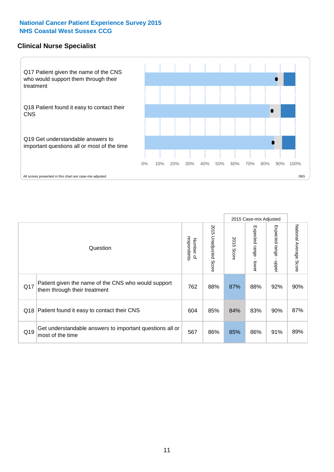### **Clinical Nurse Specialist**



|     |                                                                                     |                          |                       |               | 2015 Case-mix Adjusted  |                         |                        |
|-----|-------------------------------------------------------------------------------------|--------------------------|-----------------------|---------------|-------------------------|-------------------------|------------------------|
|     | Question                                                                            | respondents<br>Number of | 2015 Unadjusted Score | 2015<br>Score | Expected range<br>lower | Expected range<br>nbber | National Average Score |
| Q17 | Patient given the name of the CNS who would support<br>them through their treatment | 762                      | 88%                   | 87%           | 88%                     | 92%                     | 90%                    |
|     | Q18 Patient found it easy to contact their CNS                                      | 604                      | 85%                   | 84%           | 83%                     | 90%                     | 87%                    |
| Q19 | Get understandable answers to important questions all or<br>most of the time        | 567                      | 86%                   | 85%           | 86%                     | 91%                     | 89%                    |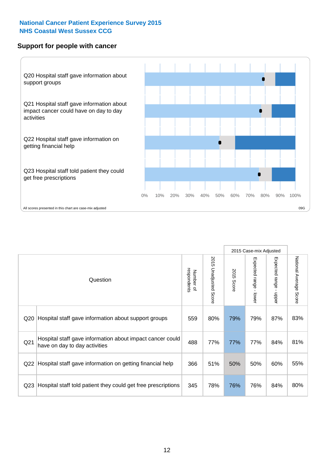### **Support for people with cancer**



|                 |                                                                                            |                          |                             |               | 2015 Case-mix Adjusted  |                                         |                        |
|-----------------|--------------------------------------------------------------------------------------------|--------------------------|-----------------------------|---------------|-------------------------|-----------------------------------------|------------------------|
|                 | Question                                                                                   | respondents<br>Number of | 2015<br>Unadjusted<br>Score | 2015<br>Score | Expected range<br>lower | Expected range<br>$\mathbf{I}$<br>nbber | National Average Score |
| Q <sub>20</sub> | Hospital staff gave information about support groups                                       | 559                      | 80%                         | 79%           | 79%                     | 87%                                     | 83%                    |
| Q <sub>21</sub> | Hospital staff gave information about impact cancer could<br>have on day to day activities | 488                      | 77%                         | 77%           | 77%                     | 84%                                     | 81%                    |
| Q22             | Hospital staff gave information on getting financial help                                  | 366                      | 51%                         | 50%           | 50%                     | 60%                                     | 55%                    |
| Q <sub>23</sub> | Hospital staff told patient they could get free prescriptions                              | 345                      | 78%                         | 76%           | 76%                     | 84%                                     | 80%                    |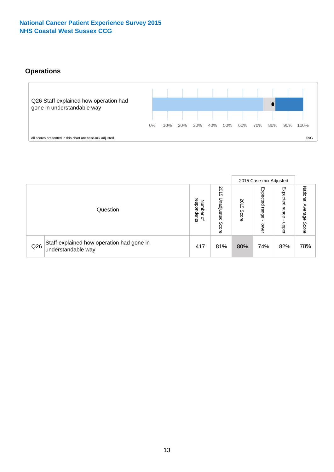# **Operations**



|     |                                                                 |                                              |                             |               | 2015 Case-mix Adjusted     |                           |                              |
|-----|-----------------------------------------------------------------|----------------------------------------------|-----------------------------|---------------|----------------------------|---------------------------|------------------------------|
|     | Question                                                        | respondents<br>Number<br>$\overline{\sigma}$ | 2015<br>Unadjusted<br>Score | 2015<br>Score | Expected<br>range<br>lower | Expected<br>range<br>dddn | National<br>Average<br>Score |
| Q26 | Staff explained how operation had gone in<br>understandable way | 417                                          | 81%                         | 80%           | 74%                        | 82%                       | 78%                          |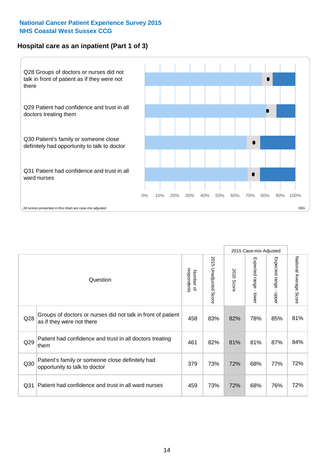# **Hospital care as an inpatient (Part 1 of 3)**



All scores presented in this chart are case-mix adjusted  $09G$ 

|                 |                                                                                           |                          |                                 |               | 2015 Case-mix Adjusted                  |                           |                        |
|-----------------|-------------------------------------------------------------------------------------------|--------------------------|---------------------------------|---------------|-----------------------------------------|---------------------------|------------------------|
|                 | Question                                                                                  | respondents<br>Number of | 2015<br><b>Unadjusted Score</b> | 2015<br>Score | Expected range<br>$\mathbf{I}$<br>lower | Expected range<br>- nbbeu | National Average Score |
| Q28             | Groups of doctors or nurses did not talk in front of patient<br>as if they were not there | 458                      | 83%                             | 82%           | 78%                                     | 85%                       | 81%                    |
| Q29             | Patient had confidence and trust in all doctors treating<br>them                          | 461                      | 82%                             | 81%           | 81%                                     | 87%                       | 84%                    |
| Q30             | Patient's family or someone close definitely had<br>opportunity to talk to doctor         | 379                      | 73%                             | 72%           | 68%                                     | 77%                       | 72%                    |
| Q <sub>31</sub> | Patient had confidence and trust in all ward nurses                                       | 459                      | 73%                             | 72%           | 68%                                     | 76%                       | 72%                    |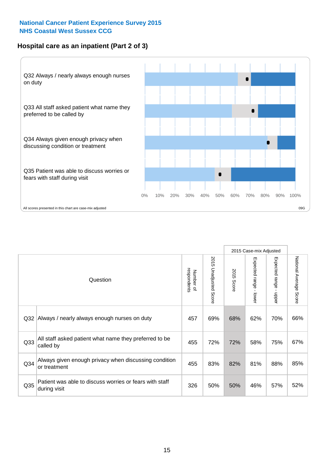# **Hospital care as an inpatient (Part 2 of 3)**



|                 |                                                                         |                          |                             |               | 2015 Case-mix Adjusted |                                           |                           |
|-----------------|-------------------------------------------------------------------------|--------------------------|-----------------------------|---------------|------------------------|-------------------------------------------|---------------------------|
|                 | Question                                                                | respondents<br>Number of | 2015<br>Unadjusted<br>Score | 2015<br>Score | Expected range - lower | Expected range<br>$\blacksquare$<br>hbber | National Average<br>Score |
| Q <sub>32</sub> | Always / nearly always enough nurses on duty                            | 457                      | 69%                         | 68%           | 62%                    | 70%                                       | 66%                       |
| Q33             | All staff asked patient what name they preferred to be<br>called by     | 455                      | 72%                         | 72%           | 58%                    | 75%                                       | 67%                       |
| Q34             | Always given enough privacy when discussing condition<br>or treatment   | 455                      | 83%                         | 82%           | 81%                    | 88%                                       | 85%                       |
| Q35             | Patient was able to discuss worries or fears with staff<br>during visit | 326                      | 50%                         | 50%           | 46%                    | 57%                                       | 52%                       |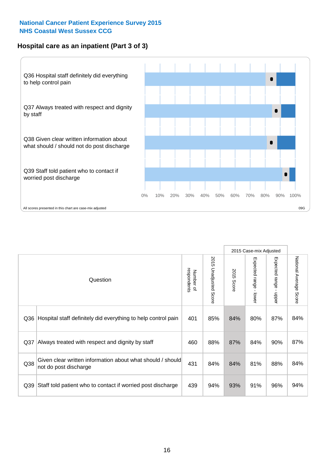# **Hospital care as an inpatient (Part 3 of 3)**



|                 |                                                                                     |                          |                                 |               | 2015 Case-mix Adjusted  |                                           |                        |
|-----------------|-------------------------------------------------------------------------------------|--------------------------|---------------------------------|---------------|-------------------------|-------------------------------------------|------------------------|
|                 | Question                                                                            | respondents<br>Number of | 2015<br><b>Unadjusted Score</b> | 2015<br>Score | Expected range<br>lower | Expected range<br>$\blacksquare$<br>nbber | National Average Score |
| Q36             | Hospital staff definitely did everything to help control pain                       | 401                      | 85%                             | 84%           | 80%                     | 87%                                       | 84%                    |
| Q <sub>37</sub> | Always treated with respect and dignity by staff                                    | 460                      | 88%                             | 87%           | 84%                     | 90%                                       | 87%                    |
| Q38             | Given clear written information about what should / should<br>not do post discharge | 431                      | 84%                             | 84%           | 81%                     | 88%                                       | 84%                    |
| Q39             | Staff told patient who to contact if worried post discharge                         | 439                      | 94%                             | 93%           | 91%                     | 96%                                       | 94%                    |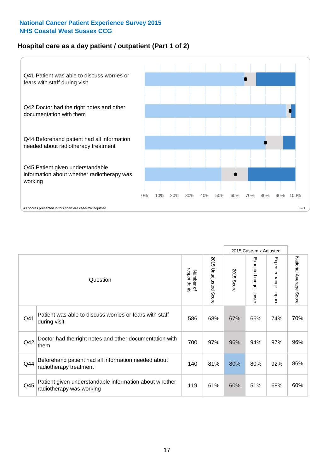# **Hospital care as a day patient / outpatient (Part 1 of 2)**



|     |                                                                                    |                          |                                 |                      | 2015 Case-mix Adjusted                  |                                         |                        |
|-----|------------------------------------------------------------------------------------|--------------------------|---------------------------------|----------------------|-----------------------------------------|-----------------------------------------|------------------------|
|     | Question                                                                           | respondents<br>Number of | 2015<br><b>Unadjusted Score</b> | 2015<br><b>Score</b> | Expected range<br>$\mathbf{r}$<br>lower | Expected range<br>$\mathbf{r}$<br>nbber | National Average Score |
| Q41 | Patient was able to discuss worries or fears with staff<br>during visit            | 586                      | 68%                             | 67%                  | 66%                                     | 74%                                     | 70%                    |
| Q42 | Doctor had the right notes and other documentation with<br>them                    | 700                      | 97%                             | 96%                  | 94%                                     | 97%                                     | 96%                    |
| Q44 | Beforehand patient had all information needed about<br>radiotherapy treatment      | 140                      | 81%                             | 80%                  | 80%                                     | 92%                                     | 86%                    |
| Q45 | Patient given understandable information about whether<br>radiotherapy was working | 119                      | 61%                             | 60%                  | 51%                                     | 68%                                     | 60%                    |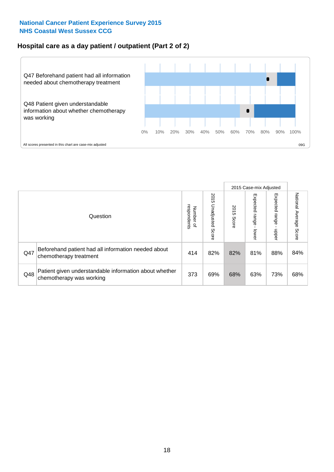# **Hospital care as a day patient / outpatient (Part 2 of 2)**



|     |                                                                                    |                                       |                             |               |                             | 2015 Case-mix Adjusted     |                           |
|-----|------------------------------------------------------------------------------------|---------------------------------------|-----------------------------|---------------|-----------------------------|----------------------------|---------------------------|
|     | Question                                                                           | respondents<br>Number<br>$\mathbf{Q}$ | 2015<br>Unadjusted<br>Score | 2015<br>Score | Expected<br>Irange<br>lower | Expected<br>range<br>doper | National Average<br>Score |
| Q47 | Beforehand patient had all information needed about<br>chemotherapy treatment      | 414                                   | 82%                         | 82%           | 81%                         | 88%                        | 84%                       |
| Q48 | Patient given understandable information about whether<br>chemotherapy was working | 373                                   | 69%                         | 68%           | 63%                         | 73%                        | 68%                       |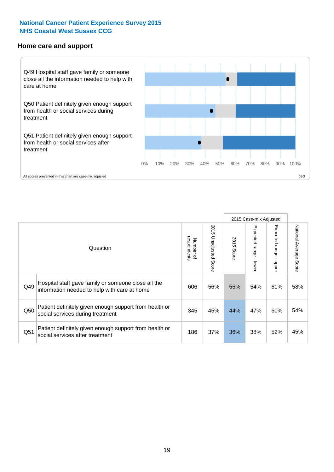#### **Home care and support**



2015 Case-mix Adjusted 2015 Unadjusted Score Expected range - upper National Average Score 2015 Unadjusted Score Expected range - lower National Average Score Expected range - lower Expected range - upper Number of<br>respondents respondents 2015 Score 2015 Score Number of Question Hospital staff gave family or someone close all the  $Q49$  information needed to help with care at home  $Q49$  56% 55% 54% 61% 58% Patient definitely given enough support from health or  $\frac{345}{\pi}$  social services during treatment  $\frac{345}{\pi}$   $\frac{45\%}{\pi}$   $\frac{44\%}{\pi}$   $\frac{47\%}{\pi}$  60%  $\frac{54\%}{\pi}$ Patient definitely given enough support from health or Q51 social services after treatment examples and the call of the call of the same of the social services after treatment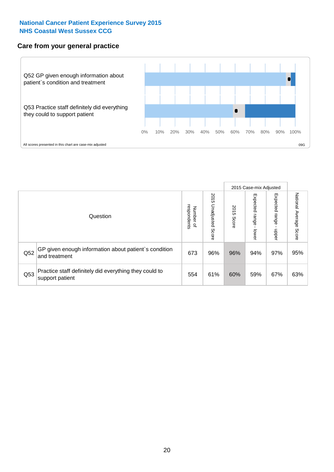# **Care from your general practice**



|     |                                                                           |                                       |                             |               |                         | 2015 Case-mix Adjusted  |                           |
|-----|---------------------------------------------------------------------------|---------------------------------------|-----------------------------|---------------|-------------------------|-------------------------|---------------------------|
|     | Question                                                                  | respondents<br>Number<br>$\mathbf{Q}$ | 2015<br>Unadjusted<br>Score | 2015<br>Score | Expected range<br>lower | Expected range<br>doper | National Average<br>Score |
| Q52 | GP given enough information about patient's condition<br>and treatment    | 673                                   | 96%                         | 96%           | 94%                     | 97%                     | 95%                       |
| Q53 | Practice staff definitely did everything they could to<br>support patient | 554                                   | 61%                         | 60%           | 59%                     | 67%                     | 63%                       |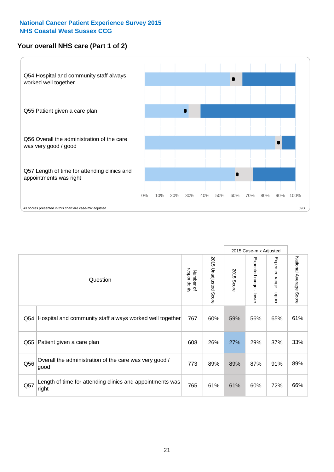# **Your overall NHS care (Part 1 of 2)**



|     |                                                                    |                          |                                 | 2015 Case-mix Adjusted |                         |                                           |                        |
|-----|--------------------------------------------------------------------|--------------------------|---------------------------------|------------------------|-------------------------|-------------------------------------------|------------------------|
|     | Question                                                           | respondents<br>Number of | 2015<br><b>Unadjusted Score</b> | 2015<br><b>Score</b>   | Expected range<br>lower | Expected range<br>$\blacksquare$<br>nbber | National Average Score |
| Q54 | Hospital and community staff always worked well together           | 767                      | 60%                             | 59%                    | 56%                     | 65%                                       | 61%                    |
| Q55 | Patient given a care plan                                          | 608                      | 26%                             | 27%                    | 29%                     | 37%                                       | 33%                    |
| Q56 | Overall the administration of the care was very good /<br>good     | 773                      | 89%                             | 89%                    | 87%                     | 91%                                       | 89%                    |
| Q57 | Length of time for attending clinics and appointments was<br>right | 765                      | 61%                             | 61%                    | 60%                     | 72%                                       | 66%                    |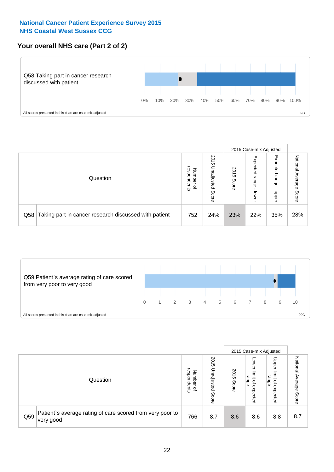# **Your overall NHS care (Part 2 of 2)**



|     |                                                       |                                   |                             |               |                            | 2015 Case-mix Adjusted     |                        |
|-----|-------------------------------------------------------|-----------------------------------|-----------------------------|---------------|----------------------------|----------------------------|------------------------|
|     | Question                                              | respondents<br>Number<br>$\Omega$ | 2015<br>Inadjusted<br>Score | 2015<br>Score | Expected<br>range<br>lower | Expected<br>range<br>nbber | National Average Score |
| Q58 | Taking part in cancer research discussed with patient | 752                               | 24%                         | 23%           | 22%                        | 35%                        | 28%                    |



|     |                                                                        |                                              |                             |               |                                                           | 2015 Case-mix Adjusted                                          |                        |
|-----|------------------------------------------------------------------------|----------------------------------------------|-----------------------------|---------------|-----------------------------------------------------------|-----------------------------------------------------------------|------------------------|
|     | Question                                                               | respondents<br>Number<br>$\overline{\sigma}$ | 2015<br>Unadjusted<br>Score | 2015<br>Score | OWer<br>limit<br>range<br>$\overline{\sigma}$<br>expected | Upper<br>limit<br>range<br>$\overline{\mathcal{C}}$<br>expected | National Average Score |
| Q59 | Patient's average rating of care scored from very poor to<br>very good | 766                                          | 8.7                         | 8.6           | 8.6                                                       | 8.8                                                             | 8.7                    |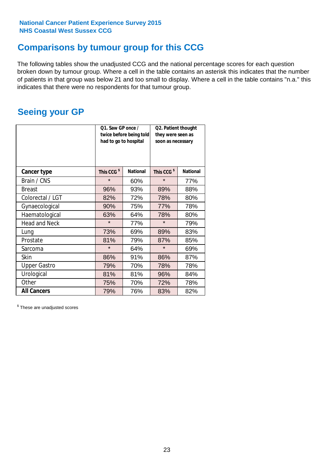# **Comparisons by tumour group for this CCG**

The following tables show the unadjusted CCG and the national percentage scores for each question broken down by tumour group. Where a cell in the table contains an asterisk this indicates that the number of patients in that group was below 21 and too small to display. Where a cell in the table contains "n.a." this indicates that there were no respondents for that tumour group.

# **Seeing your GP**

|                      | Q1. Saw GP once /<br>had to go to hospital | twice before being told | Q2. Patient thought<br>they were seen as<br>soon as necessary |                 |  |
|----------------------|--------------------------------------------|-------------------------|---------------------------------------------------------------|-----------------|--|
| <b>Cancer type</b>   | This CCG <sup>\$</sup>                     | <b>National</b>         | This CCG <sup>\$</sup>                                        | <b>National</b> |  |
| Brain / CNS          | $\star$                                    | 60%                     | $\star$                                                       | 77%             |  |
| <b>Breast</b>        | 96%                                        | 93%                     | 89%                                                           | 88%             |  |
| Colorectal / LGT     | 82%                                        | 72%                     | 78%                                                           | 80%             |  |
| Gynaecological       | 90%                                        | 75%                     | 77%                                                           | 78%             |  |
| Haematological       | 63%                                        | 64%                     | 78%                                                           | 80%             |  |
| <b>Head and Neck</b> | $\star$                                    | 77%                     | $\star$                                                       | 79%             |  |
| Lung                 | 73%                                        | 69%                     | 89%                                                           | 83%             |  |
| Prostate             | 81%                                        | 79%                     | 87%                                                           | 85%             |  |
| Sarcoma              | $\star$                                    | 64%                     | $\star$                                                       | 69%             |  |
| Skin                 | 86%                                        | 91%                     | 86%                                                           | 87%             |  |
| <b>Upper Gastro</b>  | 79%                                        | 70%                     | 78%                                                           | 78%             |  |
| Urological           | 81%                                        | 81%                     | 96%                                                           | 84%             |  |
| Other                | 75%                                        | 70%                     | 72%                                                           | 78%             |  |
| <b>All Cancers</b>   | 79%                                        | 76%                     | 83%                                                           | 82%             |  |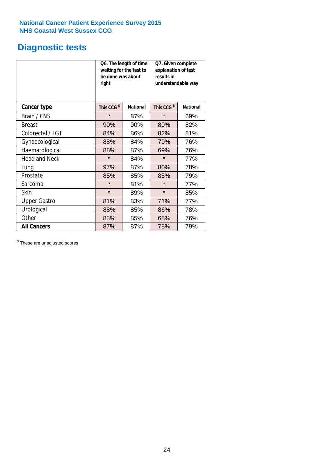# **Diagnostic tests**

|                      | be done was about<br>right | Q6. The length of time<br>waiting for the test to | Q7. Given complete<br>explanation of test<br>results in<br>understandable way |                 |  |  |
|----------------------|----------------------------|---------------------------------------------------|-------------------------------------------------------------------------------|-----------------|--|--|
| <b>Cancer type</b>   | This CCG <sup>\$</sup>     | <b>National</b>                                   | This CCG <sup>\$</sup>                                                        | <b>National</b> |  |  |
| Brain / CNS          | $\star$                    | 87%                                               | $\star$                                                                       | 69%             |  |  |
| <b>Breast</b>        | 90%                        | 90%                                               | 80%                                                                           | 82%             |  |  |
| Colorectal / LGT     | 84%                        | 86%                                               | 82%                                                                           | 81%             |  |  |
| Gynaecological       | 88%                        | 84%                                               | 79%                                                                           | 76%             |  |  |
| Haematological       | 88%                        | 87%                                               | 69%                                                                           | 76%             |  |  |
| <b>Head and Neck</b> | $\star$                    | 84%                                               | $\star$                                                                       | 77%             |  |  |
| Lung                 | 97%                        | 87%                                               | 80%                                                                           | 78%             |  |  |
| Prostate             | 85%                        | 85%                                               | 85%                                                                           | 79%             |  |  |
| Sarcoma              | $\star$                    | 81%                                               | $\star$                                                                       | 77%             |  |  |
| Skin                 | $\star$                    | 89%                                               | $\star$                                                                       | 85%             |  |  |
| <b>Upper Gastro</b>  | 81%                        | 83%                                               | 71%                                                                           | 77%             |  |  |
| Urological           | 88%                        | 85%                                               | 86%                                                                           | 78%             |  |  |
| Other                | 83%<br>85%                 |                                                   | 68%                                                                           | 76%             |  |  |
| <b>All Cancers</b>   | 87%                        | 87%                                               | 78%                                                                           | 79%             |  |  |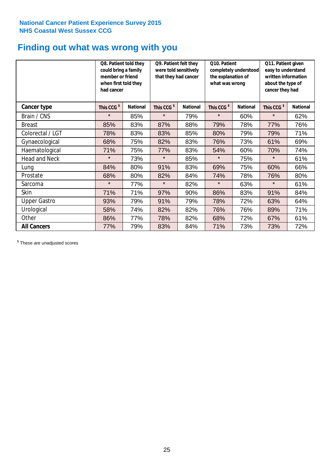# **Finding out what was wrong with you**

|                      | Q8. Patient told they<br>could bring a family<br>member or friend<br>when first told they<br>had cancer |                 | Q9. Patient felt they<br>were told sensitively<br>that they had cancer |                 | Q10. Patient<br>completely understood<br>the explanation of<br>what was wrong |                 | Q11. Patient given<br>easy to understand<br>written information<br>about the type of<br>cancer they had |                 |
|----------------------|---------------------------------------------------------------------------------------------------------|-----------------|------------------------------------------------------------------------|-----------------|-------------------------------------------------------------------------------|-----------------|---------------------------------------------------------------------------------------------------------|-----------------|
| Cancer type          | This CCG <sup>\$</sup>                                                                                  | <b>National</b> | This CCG <sup>\$</sup>                                                 | <b>National</b> | This CCG <sup>\$</sup>                                                        | <b>National</b> | This CCG <sup>\$</sup>                                                                                  | <b>National</b> |
| Brain / CNS          | $\star$                                                                                                 | 85%             | $\star$                                                                | 79%             | $\star$                                                                       | 60%             | $\star$                                                                                                 | 62%             |
| <b>Breast</b>        | 85%                                                                                                     | 83%             | 87%                                                                    | 88%             | 79%                                                                           | 78%             | 77%                                                                                                     | 76%             |
| Colorectal / LGT     | 78%                                                                                                     | 83%             | 83%                                                                    | 85%             | 80%                                                                           | 79%             | 79%                                                                                                     | 71%             |
| Gynaecological       | 68%                                                                                                     | 75%             | 82%                                                                    | 83%             | 76%                                                                           | 73%             | 61%                                                                                                     | 69%             |
| Haematological       | 71%                                                                                                     | 75%             | 77%                                                                    | 83%             | 54%                                                                           | 60%             | 70%                                                                                                     | 74%             |
| <b>Head and Neck</b> | $\star$                                                                                                 | 73%             | $\star$                                                                | 85%             | $\star$                                                                       | 75%             | $\star$                                                                                                 | 61%             |
| Lung                 | 84%                                                                                                     | 80%             | 91%                                                                    | 83%             | 69%                                                                           | 75%             | 60%                                                                                                     | 66%             |
| Prostate             | 68%                                                                                                     | 80%             | 82%                                                                    | 84%             | 74%                                                                           | 78%             | 76%                                                                                                     | 80%             |
| Sarcoma              | $\star$                                                                                                 | 77%             | $\star$                                                                | 82%             | $\star$                                                                       | 63%             | $\star$                                                                                                 | 61%             |
| Skin                 | 71%                                                                                                     | 71%             | 97%                                                                    | 90%             | 86%                                                                           | 83%             | 91%                                                                                                     | 84%             |
| <b>Upper Gastro</b>  | 93%                                                                                                     | 79%             | 91%                                                                    | 79%             | 78%                                                                           | 72%             | 63%                                                                                                     | 64%             |
| Urological           | 58%                                                                                                     | 74%             | 82%                                                                    | 82%             | 76%                                                                           | 76%             | 89%                                                                                                     | 71%             |
| Other                | 86%                                                                                                     | 77%             | 78%                                                                    | 82%             | 68%                                                                           | 72%             | 67%                                                                                                     | 61%             |
| <b>All Cancers</b>   | 77%                                                                                                     | 79%             | 83%                                                                    | 84%             | 71%                                                                           | 73%             | 73%                                                                                                     | 72%             |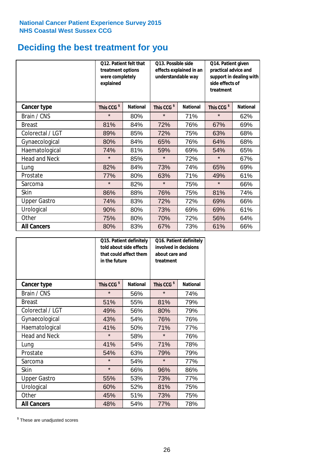# **Deciding the best treatment for you**

|                      | 012. Patient felt that<br>treatment options<br>were completely<br>explained |                 | O13. Possible side<br>understandable way | effects explained in an | Q14. Patient given<br>practical advice and<br>support in dealing with<br>side effects of<br>treatment |                 |  |
|----------------------|-----------------------------------------------------------------------------|-----------------|------------------------------------------|-------------------------|-------------------------------------------------------------------------------------------------------|-----------------|--|
| <b>Cancer type</b>   | This CCG <sup>\$</sup>                                                      | <b>National</b> | This CCG <sup>\$</sup>                   | <b>National</b>         | This CCG <sup>\$</sup>                                                                                | <b>National</b> |  |
| Brain / CNS          | $\star$                                                                     | 80%             | $\star$                                  | 71%                     | $\star$                                                                                               | 62%             |  |
| <b>Breast</b>        | 81%                                                                         | 84%             | 72%                                      | 76%                     | 67%                                                                                                   | 69%             |  |
| Colorectal / LGT     | 89%                                                                         | 85%             | 72%                                      | 75%                     | 63%                                                                                                   | 68%             |  |
| Gynaecological       | 80%                                                                         | 84%             | 65%                                      | 76%                     | 64%                                                                                                   | 68%             |  |
| Haematological       | 74%                                                                         | 81%             | 59%                                      | 69%                     | 54%                                                                                                   | 65%             |  |
| <b>Head and Neck</b> | $\star$                                                                     | 85%             | $\star$                                  | 72%                     | $\star$                                                                                               | 67%             |  |
| Lung                 | 82%                                                                         | 84%             | 73%                                      | 74%                     | 65%                                                                                                   | 69%             |  |
| Prostate             | 77%                                                                         | 80%             | 63%                                      | 71%                     | 49%                                                                                                   | 61%             |  |
| Sarcoma              | $\star$                                                                     | 82%             | $\star$                                  | 75%                     | $\star$                                                                                               | 66%             |  |
| Skin                 | 86%                                                                         | 88%             | 76%                                      | 75%                     | 81%                                                                                                   | 74%             |  |
| <b>Upper Gastro</b>  | 74%                                                                         | 83%             | 72%                                      | 72%                     | 69%                                                                                                   | 66%             |  |
| Urological           | 90%                                                                         | 80%             | 73%                                      | 69%                     | 69%                                                                                                   | 61%             |  |
| Other                | 75%                                                                         | 80%             | 70%                                      | 72%                     | 56%                                                                                                   | 64%             |  |
| <b>All Cancers</b>   | 80%                                                                         | 83%             | 67%                                      | 73%                     | 61%                                                                                                   | 66%             |  |

|                      | in the future          | Q15. Patient definitely<br>told about side effects<br>that could affect them | Q16. Patient definitely<br>involved in decisions<br>about care and<br>treatment |                 |  |
|----------------------|------------------------|------------------------------------------------------------------------------|---------------------------------------------------------------------------------|-----------------|--|
| <b>Cancer type</b>   | This CCG <sup>\$</sup> | <b>National</b>                                                              | This CCG <sup>\$</sup>                                                          | <b>National</b> |  |
| Brain / CNS          | $\star$                | 56%                                                                          | $\star$                                                                         | 74%             |  |
| <b>Breast</b>        | 51%                    | 55%                                                                          | 81%                                                                             | 79%             |  |
| Colorectal / LGT     | 49%                    | 56%                                                                          | 80%                                                                             | 79%             |  |
| Gynaecological       | 43%                    | 54%                                                                          | 76%                                                                             | 76%             |  |
| Haematological       | 41%<br>50%             |                                                                              | 71%                                                                             | 77%             |  |
| <b>Head and Neck</b> | $\star$                | 58%                                                                          | $\star$                                                                         | 76%             |  |
| Lung                 | 41%                    | 54%                                                                          | 71%                                                                             | 78%             |  |
| Prostate             | 54%                    | 63%                                                                          | 79%                                                                             | 79%             |  |
| Sarcoma              | $\star$                | 54%                                                                          | $\star$                                                                         | 77%             |  |
| Skin                 | $\star$                | 66%                                                                          | 96%                                                                             | 86%             |  |
| <b>Upper Gastro</b>  | 55%                    | 53%                                                                          | 73%                                                                             | 77%             |  |
| Urological           | 60%                    | 52%                                                                          | 81%                                                                             | 75%             |  |
| Other                | 45%                    | 51%                                                                          | 73%                                                                             | 75%             |  |
| <b>All Cancers</b>   | 48%                    | 54%                                                                          | 77%                                                                             | 78%             |  |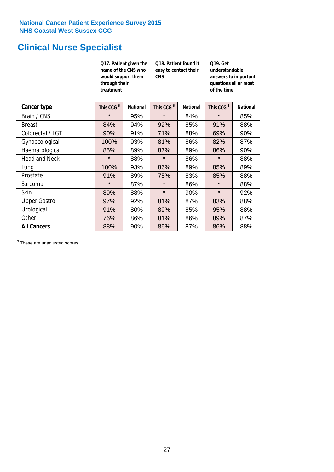# **Clinical Nurse Specialist**

|                      | would support them<br>through their<br>treatment | Q17. Patient given the<br>name of the CNS who | Q18. Patient found it<br>easy to contact their<br><b>CNS</b> |                 | <b>Q19. Get</b><br>understandable<br>answers to important<br>questions all or most<br>of the time |                 |  |
|----------------------|--------------------------------------------------|-----------------------------------------------|--------------------------------------------------------------|-----------------|---------------------------------------------------------------------------------------------------|-----------------|--|
| <b>Cancer type</b>   | This CCG <sup>\$</sup>                           | <b>National</b>                               | This CCG <sup>\$</sup>                                       | <b>National</b> | This CCG <sup>\$</sup>                                                                            | <b>National</b> |  |
| Brain / CNS          | $\star$                                          | 95%                                           | $\star$                                                      | 84%             | $\star$                                                                                           | 85%             |  |
| <b>Breast</b>        | 84%                                              | 94%                                           | 92%                                                          | 85%             | 91%                                                                                               | 88%             |  |
| Colorectal / LGT     | 90%                                              | 91%                                           | 71%                                                          | 88%             | 69%                                                                                               | 90%             |  |
| Gynaecological       | 100%                                             | 93%                                           | 81%                                                          | 86%             | 82%                                                                                               | 87%             |  |
| Haematological       | 85%                                              | 89%                                           | 87%                                                          | 89%             | 86%                                                                                               | 90%             |  |
| <b>Head and Neck</b> | $\star$                                          | 88%                                           | $\star$                                                      | 86%             | $\star$                                                                                           | 88%             |  |
| Lung                 | 100%                                             | 93%                                           | 86%                                                          | 89%             | 85%                                                                                               | 89%             |  |
| Prostate             | 91%                                              | 89%                                           | 75%                                                          | 83%             | 85%                                                                                               | 88%             |  |
| Sarcoma              | $\star$                                          | 87%                                           | $\star$                                                      | 86%             | $\star$                                                                                           | 88%             |  |
| Skin                 | 89%                                              | 88%                                           | $\star$                                                      | 90%             | $\star$                                                                                           | 92%             |  |
| <b>Upper Gastro</b>  | 97%                                              | 92%                                           | 81%                                                          | 87%             | 83%                                                                                               | 88%             |  |
| Urological           | 91%                                              | 80%                                           | 89%                                                          | 85%             | 95%                                                                                               | 88%             |  |
| Other                | 76%                                              | 86%                                           | 81%                                                          | 86%             | 89%                                                                                               | 87%             |  |
| <b>All Cancers</b>   | 88%                                              | 90%                                           | 85%                                                          | 87%             | 86%                                                                                               | 88%             |  |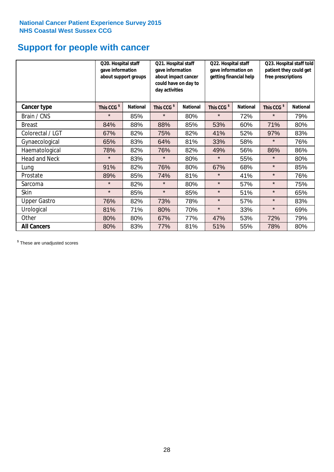# **Support for people with cancer**

|                      |                        | Q20. Hospital staff<br>gave information<br>about support groups |                        | Q21. Hospital staff<br>gave information<br>about impact cancer<br>could have on day to<br>day activities |                        | Q22. Hospital staff<br>gave information on<br>getting financial help |                        | Q23. Hospital staff told<br>patient they could get<br>free prescriptions |  |
|----------------------|------------------------|-----------------------------------------------------------------|------------------------|----------------------------------------------------------------------------------------------------------|------------------------|----------------------------------------------------------------------|------------------------|--------------------------------------------------------------------------|--|
| <b>Cancer type</b>   | This CCG <sup>\$</sup> | <b>National</b>                                                 | This CCG <sup>\$</sup> | <b>National</b>                                                                                          | This CCG <sup>\$</sup> | <b>National</b>                                                      | This CCG <sup>\$</sup> | <b>National</b>                                                          |  |
| Brain / CNS          | $\star$                | 85%                                                             | $\star$                | 80%                                                                                                      | $\star$                | 72%                                                                  | $\star$                | 79%                                                                      |  |
| <b>Breast</b>        | 84%                    | 88%                                                             | 88%                    | 85%                                                                                                      | 53%                    | 60%                                                                  | 71%                    | 80%                                                                      |  |
| Colorectal / LGT     | 67%                    | 82%                                                             | 75%                    | 82%                                                                                                      | 41%                    | 52%                                                                  | 97%                    | 83%                                                                      |  |
| Gynaecological       | 65%                    | 83%                                                             | 64%                    | 81%                                                                                                      | 33%                    | 58%                                                                  | $\star$                | 76%                                                                      |  |
| Haematological       | 78%                    | 82%                                                             | 76%                    | 82%                                                                                                      | 49%                    | 56%                                                                  | 86%                    | 86%                                                                      |  |
| <b>Head and Neck</b> | $\star$                | 83%                                                             | $\star$                | 80%                                                                                                      | $\star$                | 55%                                                                  | $\star$                | 80%                                                                      |  |
| Lung                 | 91%                    | 82%                                                             | 76%                    | 80%                                                                                                      | 67%                    | 68%                                                                  | $\star$                | 85%                                                                      |  |
| Prostate             | 89%                    | 85%                                                             | 74%                    | 81%                                                                                                      | $\star$                | 41%                                                                  | $\star$                | 76%                                                                      |  |
| Sarcoma              | $\star$                | 82%                                                             | $\star$                | 80%                                                                                                      | $\star$                | 57%                                                                  | $\star$                | 75%                                                                      |  |
| Skin                 | $\star$                | 85%                                                             | $\star$                | 85%                                                                                                      | $\star$                | 51%                                                                  | $\star$                | 65%                                                                      |  |
| <b>Upper Gastro</b>  | 76%                    | 82%                                                             | 73%                    | 78%                                                                                                      | $\star$                | 57%                                                                  | $\star$                | 83%                                                                      |  |
| Urological           | 81%                    | 71%                                                             | 80%                    | 70%                                                                                                      | $\star$                | 33%                                                                  | $\star$                | 69%                                                                      |  |
| Other                | 80%                    | 80%                                                             | 67%                    | 77%                                                                                                      | 47%                    | 53%                                                                  | 72%                    | 79%                                                                      |  |
| <b>All Cancers</b>   | 80%                    | 83%                                                             | 77%                    | 81%                                                                                                      | 51%                    | 55%                                                                  | 78%                    | 80%                                                                      |  |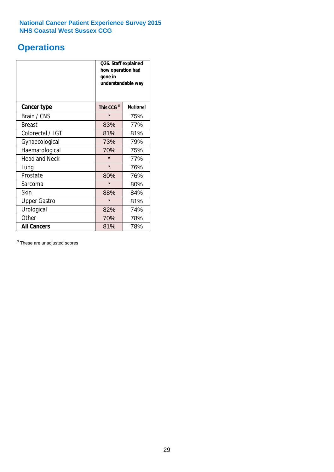# **Operations**

|                      | Q26. Staff explained<br>how operation had<br>gone in<br>understandable way |                 |  |  |
|----------------------|----------------------------------------------------------------------------|-----------------|--|--|
| <b>Cancer type</b>   | This CCG <sup>\$</sup>                                                     | <b>National</b> |  |  |
| Brain / CNS          | $\star$                                                                    | 75%             |  |  |
| <b>Breast</b>        | 83%                                                                        | 77%             |  |  |
| Colorectal / LGT     | 81%                                                                        | 81%             |  |  |
| Gynaecological       | 73%                                                                        | 79%             |  |  |
| Haematological       | 70%                                                                        | 75%             |  |  |
| <b>Head and Neck</b> | $\star$                                                                    | 77%             |  |  |
| Lung                 | $\star$                                                                    | 76%             |  |  |
| Prostate             | 80%                                                                        | 76%             |  |  |
| Sarcoma              | $\star$                                                                    | 80%             |  |  |
| Skin                 | 88%                                                                        | 84%             |  |  |
| <b>Upper Gastro</b>  | $\star$                                                                    | 81%             |  |  |
| Urological           | 82%                                                                        | 74%             |  |  |
| Other                | 70%                                                                        | 78%             |  |  |
| <b>All Cancers</b>   | 81%                                                                        | 78%             |  |  |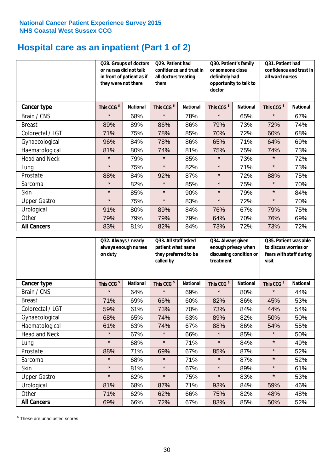# **Hospital care as an inpatient (Part 1 of 2)**

|                      |                        | Q28. Groups of doctors<br>Q29. Patient had<br>or nurses did not talk<br>confidence and trust in<br>in front of patient as if<br>all doctors treating<br>they were not there<br>them |                        |                 | Q30. Patient's family<br>or someone close<br>definitely had<br>doctor | opportunity to talk to | Q31. Patient had<br>confidence and trust in I<br>all ward nurses |                 |
|----------------------|------------------------|-------------------------------------------------------------------------------------------------------------------------------------------------------------------------------------|------------------------|-----------------|-----------------------------------------------------------------------|------------------------|------------------------------------------------------------------|-----------------|
| Cancer type          | This CCG <sup>\$</sup> | <b>National</b>                                                                                                                                                                     | This CCG <sup>\$</sup> | <b>National</b> | This CCG <sup>\$</sup>                                                | <b>National</b>        | This CCG <sup>\$</sup>                                           | <b>National</b> |
| Brain / CNS          | $\star$                | 68%                                                                                                                                                                                 | $\star$                | 78%             | $\star$                                                               | 65%                    | $\star$                                                          | 67%             |
| <b>Breast</b>        | 89%                    | 89%                                                                                                                                                                                 | 86%                    | 86%             | 79%                                                                   | 73%                    | 72%                                                              | 74%             |
| Colorectal / LGT     | 71%                    | 75%                                                                                                                                                                                 | 78%                    | 85%             | 70%                                                                   | 72%                    | 60%                                                              | 68%             |
| Gynaecological       | 96%                    | 84%                                                                                                                                                                                 | 78%                    | 86%             | 65%                                                                   | 71%                    | 64%                                                              | 69%             |
| Haematological       | 81%                    | 80%                                                                                                                                                                                 | 74%                    | 81%             | 75%                                                                   | 75%                    | 74%                                                              | 73%             |
| <b>Head and Neck</b> | $\star$                | 79%                                                                                                                                                                                 | $\star$                | 85%             | $\star$                                                               | 73%                    | $\star$                                                          | 72%             |
| Lung                 | $\star$                | 75%                                                                                                                                                                                 | $\star$                | 82%             | $\star$                                                               | 71%                    | $\star$                                                          | 73%             |
| Prostate             | 88%                    | 84%                                                                                                                                                                                 | 92%                    | 87%             | $\star$                                                               | 72%                    | 88%                                                              | 75%             |
| Sarcoma              | $\star$                | 82%                                                                                                                                                                                 | $\star$                | 85%             | $\star$                                                               | 75%                    | $\star$                                                          | 70%             |
| Skin                 | $\star$                | 85%                                                                                                                                                                                 | $\star$                | 90%             | $\star$                                                               | 79%                    | $\star$                                                          | 84%             |
| <b>Upper Gastro</b>  | $\star$                | 75%                                                                                                                                                                                 | $\star$                | 83%             | $\star$                                                               | 72%                    | $\star$                                                          | 70%             |
| Urological           | 91%                    | 80%                                                                                                                                                                                 | 89%                    | 84%             | 76%                                                                   | 67%                    | 79%                                                              | 75%             |
| Other                | 79%                    | 79%                                                                                                                                                                                 | 79%                    | 79%             | 64%                                                                   | 70%                    | 76%                                                              | 69%             |
| <b>All Cancers</b>   | 83%                    | 81%                                                                                                                                                                                 | 82%                    | 84%             | 73%                                                                   | 72%                    | 73%                                                              | 72%             |

|                      | Q32. Always / nearly<br>always enough nurses<br>on duty |                 | Q33. All staff asked<br>patient what name<br>they preferred to be<br>called by |                 | Q34. Always given<br>enough privacy when<br>discussing condition or<br>treatment |                 | Q35. Patient was able<br>to discuss worries or<br>fears with staff during<br>visit |                 |
|----------------------|---------------------------------------------------------|-----------------|--------------------------------------------------------------------------------|-----------------|----------------------------------------------------------------------------------|-----------------|------------------------------------------------------------------------------------|-----------------|
| <b>Cancer type</b>   | This CCG <sup>\$</sup>                                  | <b>National</b> | This CCG <sup>\$</sup>                                                         | <b>National</b> | This CCG <sup>\$</sup>                                                           | <b>National</b> | This CCG <sup>\$</sup>                                                             | <b>National</b> |
| Brain / CNS          | $\star$                                                 | 64%             | $\star$                                                                        | 69%             | $\star$                                                                          | 80%             | $\star$                                                                            | 44%             |
| <b>Breast</b>        | 71%                                                     | 69%             | 66%                                                                            | 60%             | 82%                                                                              | 86%             | 45%                                                                                | 53%             |
| Colorectal / LGT     | 59%                                                     | 61%             | 73%                                                                            | 70%             | 73%                                                                              | 84%             | 44%                                                                                | 54%             |
| Gynaecological       | 68%                                                     | 65%             | 74%                                                                            | 63%             | 89%                                                                              | 82%             | 50%                                                                                | 50%             |
| Haematological       | 61%                                                     | 63%             | 74%                                                                            | 67%             | 88%                                                                              | 86%             | 54%                                                                                | 55%             |
| <b>Head and Neck</b> | $\star$                                                 | 67%             | $\star$                                                                        | 66%             | $\star$                                                                          | 85%             | $\star$                                                                            | 50%             |
| Lung                 | $\star$                                                 | 68%             | $\star$                                                                        | 71%             | $\star$                                                                          | 84%             | $\star$                                                                            | 49%             |
| Prostate             | 88%                                                     | 71%             | 69%                                                                            | 67%             | 85%                                                                              | 87%             | $\star$                                                                            | 52%             |
| Sarcoma              | $\star$                                                 | 68%             | $\star$                                                                        | 71%             | $\star$                                                                          | 87%             | $\star$                                                                            | 52%             |
| Skin                 | $\star$                                                 | 81%             | $\star$                                                                        | 67%             | $\star$                                                                          | 89%             | $\star$                                                                            | 61%             |
| <b>Upper Gastro</b>  | $\star$                                                 | 62%             | $\star$                                                                        | 75%             | $\star$                                                                          | 83%             | $\star$                                                                            | 53%             |
| Urological           | 81%                                                     | 68%             | 87%                                                                            | 71%             | 93%                                                                              | 84%             | 59%                                                                                | 46%             |
| Other                | 71%                                                     | 62%             | 62%                                                                            | 66%             | 75%                                                                              | 82%             | 48%                                                                                | 48%             |
| <b>All Cancers</b>   | 69%                                                     | 66%             | 72%                                                                            | 67%             | 83%                                                                              | 85%             | 50%                                                                                | 52%             |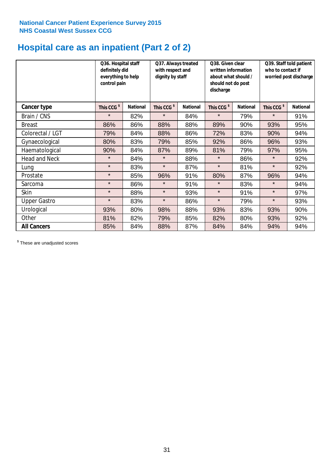# **Hospital care as an inpatient (Part 2 of 2)**

|                      | Q36. Hospital staff<br>definitely did<br>everything to help<br>control pain |                 | Q37. Always treated<br>with respect and<br>dignity by staff |                 | Q38. Given clear<br>written information<br>about what should /<br>should not do post<br>discharge |                 | Q39. Staff told patient<br>who to contact if<br>worried post discharge |                 |
|----------------------|-----------------------------------------------------------------------------|-----------------|-------------------------------------------------------------|-----------------|---------------------------------------------------------------------------------------------------|-----------------|------------------------------------------------------------------------|-----------------|
| Cancer type          | This CCG <sup>\$</sup>                                                      | <b>National</b> | This CCG <sup>\$</sup>                                      | <b>National</b> | This CCG <sup>\$</sup>                                                                            | <b>National</b> | This CCG <sup>\$</sup>                                                 | <b>National</b> |
| Brain / CNS          | $\star$                                                                     | 82%             | $\star$                                                     | 84%             | $\star$                                                                                           | 79%             | $\star$                                                                | 91%             |
| <b>Breast</b>        | 86%                                                                         | 86%             | 88%                                                         | 88%             | 89%                                                                                               | 90%             | 93%                                                                    | 95%             |
| Colorectal / LGT     | 79%                                                                         | 84%             | 88%                                                         | 86%             | 72%                                                                                               | 83%             | 90%                                                                    | 94%             |
| Gynaecological       | 80%                                                                         | 83%             | 79%                                                         | 85%             | 92%                                                                                               | 86%             | 96%                                                                    | 93%             |
| Haematological       | 90%                                                                         | 84%             | 87%                                                         | 89%             | 81%                                                                                               | 79%             | 97%                                                                    | 95%             |
| <b>Head and Neck</b> | $\star$                                                                     | 84%             | $\star$                                                     | 88%             | $\star$                                                                                           | 86%             | $\star$                                                                | 92%             |
| Lung                 | $\star$                                                                     | 83%             | $\star$                                                     | 87%             | $\star$                                                                                           | 81%             | $\star$                                                                | 92%             |
| Prostate             | $\star$                                                                     | 85%             | 96%                                                         | 91%             | 80%                                                                                               | 87%             | 96%                                                                    | 94%             |
| Sarcoma              | $\star$                                                                     | 86%             | $\star$                                                     | 91%             | $\star$                                                                                           | 83%             | $\star$                                                                | 94%             |
| Skin                 | $\star$                                                                     | 88%             | $\star$                                                     | 93%             | $\star$                                                                                           | 91%             | $\star$                                                                | 97%             |
| <b>Upper Gastro</b>  | $\star$                                                                     | 83%             | $\star$                                                     | 86%             | $\star$                                                                                           | 79%             | $\star$                                                                | 93%             |
| Urological           | 93%                                                                         | 80%             | 98%                                                         | 88%             | 93%                                                                                               | 83%             | 93%                                                                    | 90%             |
| Other                | 81%                                                                         | 82%             | 79%                                                         | 85%             | 82%                                                                                               | 80%             | 93%                                                                    | 92%             |
| <b>All Cancers</b>   | 85%                                                                         | 84%             | 88%                                                         | 87%             | 84%                                                                                               | 84%             | 94%                                                                    | 94%             |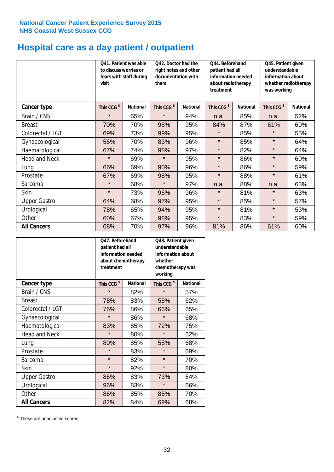# **Hospital care as a day patient / outpatient**

|                      | to discuss worries or<br>visit | Q41. Patient was able<br>fears with staff during | Q42. Doctor had the<br>right notes and other<br>documentation with<br>them |                 | Q44. Beforehand<br>patient had all<br>information needed<br>about radiotherapy<br>treatment |                 | Q45. Patient given<br>understandable<br>information about<br>whether radiotherapy<br>was working |                 |
|----------------------|--------------------------------|--------------------------------------------------|----------------------------------------------------------------------------|-----------------|---------------------------------------------------------------------------------------------|-----------------|--------------------------------------------------------------------------------------------------|-----------------|
| Cancer type          | This CCG <sup>\$</sup>         | <b>National</b>                                  | This CCG <sup>\$</sup>                                                     | <b>National</b> | This CCG <sup>\$</sup>                                                                      | <b>National</b> | This CCG <sup>\$</sup>                                                                           | <b>National</b> |
| Brain / CNS          | $\star$                        | 65%                                              | $\star$                                                                    | 94%             | n.a.                                                                                        | 85%             | n.a.                                                                                             | 52%             |
| <b>Breast</b>        | 70%                            | 70%                                              | 98%                                                                        | 95%             | 84%                                                                                         | 87%             | 61%                                                                                              | 60%             |
| Colorectal / LGT     | 69%                            | 73%                                              | 99%                                                                        | 95%             | $\star$                                                                                     | 85%             | $\star$                                                                                          | 55%             |
| Gynaecological       | 56%                            | 70%                                              | 83%                                                                        | 96%             | $\star$                                                                                     | 85%             | $\star$                                                                                          | 64%             |
| Haematological       | 67%                            | 74%                                              | 98%                                                                        | 97%             | $\star$                                                                                     | 82%             | $\star$                                                                                          | 64%             |
| <b>Head and Neck</b> | $\star$                        | 69%                                              | $\star$                                                                    | 95%             | $\star$                                                                                     | 86%             | $\star$                                                                                          | 60%             |
| Lung                 | 66%                            | 69%                                              | 90%                                                                        | 96%             | $\star$                                                                                     | 86%             | $\star$                                                                                          | 59%             |
| Prostate             | 67%                            | 69%                                              | 98%                                                                        | 95%             | $\star$                                                                                     | 88%             | $\star$                                                                                          | 61%             |
| Sarcoma              | $\star$                        | 68%                                              | $\star$                                                                    | 97%             | n.a.                                                                                        | 88%             | n.a.                                                                                             | 63%             |
| Skin                 | $\star$                        | 73%                                              | 96%                                                                        | 96%             | $\star$                                                                                     | 81%             | $\star$                                                                                          | 63%             |
| <b>Upper Gastro</b>  | 64%                            | 68%                                              | 97%                                                                        | 95%             | $\star$                                                                                     | 85%             | $\star$                                                                                          | 57%             |
| Urological           | 78%                            | 65%                                              | 94%                                                                        | 95%             | $\star$                                                                                     | 81%             | $\star$                                                                                          | 53%             |
| Other                | 60%                            | 67%                                              | 98%                                                                        | 95%             | $\star$                                                                                     | 83%             | $\star$                                                                                          | 59%             |
| <b>All Cancers</b>   | 68%                            | 70%                                              | 97%                                                                        | 96%             | 81%                                                                                         | 86%             | 61%                                                                                              | 60%             |

|                      | O47. Beforehand<br>patient had all<br>information needed<br>about chemotherapy<br>treatment |                 | Q48. Patient given<br>understandable<br>information about<br>whether<br>chemotherapy was<br>working |                 |  |
|----------------------|---------------------------------------------------------------------------------------------|-----------------|-----------------------------------------------------------------------------------------------------|-----------------|--|
| <b>Cancer type</b>   | This CCG <sup>\$</sup>                                                                      | <b>National</b> | This CCG <sup>\$</sup>                                                                              | <b>National</b> |  |
| Brain / CNS          | $\star$                                                                                     | 82%             | $\star$                                                                                             | 57%             |  |
| <b>Breast</b>        | 78%                                                                                         | 83%             | 58%                                                                                                 | 62%             |  |
| Colorectal / LGT     | 76%                                                                                         | 86%             | 66%                                                                                                 | 65%             |  |
| Gynaecological       | $\star$                                                                                     | 86%             | $\star$                                                                                             | 68%             |  |
| Haematological       | 83%                                                                                         | 85%             | 72%                                                                                                 | 75%             |  |
| <b>Head and Neck</b> | $\star$                                                                                     | 80%             | $\star$                                                                                             | 52%             |  |
| Lung                 | 80%                                                                                         | 85%             | 58%                                                                                                 | 68%             |  |
| Prostate             | $\star$                                                                                     | 83%             | $\star$                                                                                             | 69%             |  |
| Sarcoma              | $\star$                                                                                     | 82%             | $\star$                                                                                             | 70%             |  |
| Skin                 | $\star$                                                                                     | 92%             | $\star$                                                                                             | 80%             |  |
| <b>Upper Gastro</b>  | 86%                                                                                         | 83%             | 73%                                                                                                 | 64%             |  |
| Urological           | 96%                                                                                         | 83%             | $\star$                                                                                             | 66%             |  |
| Other                | 86%                                                                                         | 85%             | 85%                                                                                                 | 70%             |  |
| <b>All Cancers</b>   | 82%                                                                                         | 84%             | 69%                                                                                                 | 68%             |  |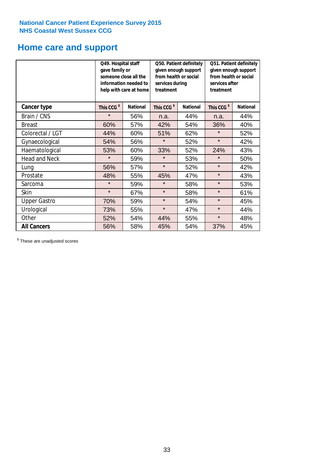# **Home care and support**

|                      | Q49. Hospital staff<br>gave family or | someone close all the<br>information needed to<br>help with care at home | Q50. Patient definitely<br>given enough support<br>from health or social<br>services during<br>treatment |                        | Q51. Patient definitely<br>given enough support<br>from health or social<br>services after<br>treatment |     |
|----------------------|---------------------------------------|--------------------------------------------------------------------------|----------------------------------------------------------------------------------------------------------|------------------------|---------------------------------------------------------------------------------------------------------|-----|
| <b>Cancer type</b>   | This CCG <sup>\$</sup>                | <b>National</b><br>This CCG <sup>\$</sup><br><b>National</b>             |                                                                                                          | This CCG <sup>\$</sup> | <b>National</b>                                                                                         |     |
| Brain / CNS          | $\star$                               | 56%                                                                      | n.a.                                                                                                     | 44%                    | n.a.                                                                                                    | 44% |
| <b>Breast</b>        | 60%                                   | 57%                                                                      | 42%                                                                                                      | 54%                    | 36%                                                                                                     | 40% |
| Colorectal / LGT     | 44%                                   | 60%                                                                      | 51%                                                                                                      | 62%                    | $\star$                                                                                                 | 52% |
| Gynaecological       | 54%                                   | 56%                                                                      | $\star$                                                                                                  | 52%                    | $\star$                                                                                                 | 42% |
| Haematological       | 53%                                   | 60%                                                                      | 33%                                                                                                      | 52%                    | 24%                                                                                                     | 43% |
| <b>Head and Neck</b> | $\star$                               | 59%                                                                      | $\star$                                                                                                  | 53%                    | $\star$                                                                                                 | 50% |
| Lung                 | 56%                                   | 57%                                                                      | $\star$                                                                                                  | 52%                    | $\star$                                                                                                 | 42% |
| Prostate             | 48%                                   | 55%                                                                      | 45%                                                                                                      | 47%                    | $\star$                                                                                                 | 43% |
| Sarcoma              | $\star$                               | 59%                                                                      | $\star$                                                                                                  | 58%                    | $\star$                                                                                                 | 53% |
| Skin                 | $\star$                               | 67%                                                                      | $\star$                                                                                                  | 58%                    | $\star$                                                                                                 | 61% |
| <b>Upper Gastro</b>  | 70%                                   | 59%                                                                      | $\star$                                                                                                  | 54%                    | $\star$                                                                                                 | 45% |
| Urological           | 73%                                   | 55%                                                                      | $\star$                                                                                                  | 47%                    | $\star$                                                                                                 | 44% |
| Other                | 52%                                   | 54%                                                                      | 44%                                                                                                      | 55%                    | $\star$                                                                                                 | 48% |
| <b>All Cancers</b>   | 56%                                   | 58%                                                                      | 45%                                                                                                      | 54%                    | 37%                                                                                                     | 45% |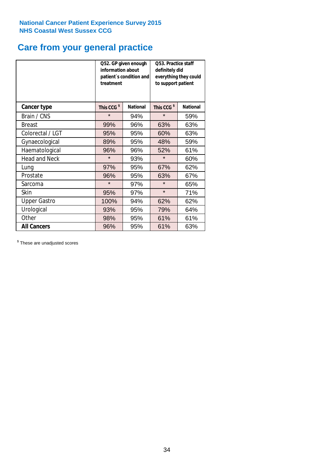# **Care from your general practice**

|                      | information about<br>treatment | Q52. GP given enough<br>patient's condition and | Q53. Practice staff<br>definitely did<br>everything they could<br>to support patient |                 |  |
|----------------------|--------------------------------|-------------------------------------------------|--------------------------------------------------------------------------------------|-----------------|--|
| <b>Cancer type</b>   | This CCG <sup>\$</sup>         | <b>National</b>                                 | This CCG <sup>\$</sup>                                                               | <b>National</b> |  |
| Brain / CNS          | $\star$                        | 94%                                             | $\star$                                                                              | 59%             |  |
| <b>Breast</b>        | 99%                            | 96%                                             | 63%                                                                                  | 63%             |  |
| Colorectal / LGT     | 95%                            | 95%                                             | 60%                                                                                  | 63%             |  |
| Gynaecological       | 89%                            | 95%                                             | 48%                                                                                  | 59%             |  |
| Haematological       | 96%                            | 96%                                             | 52%                                                                                  | 61%             |  |
| <b>Head and Neck</b> | $\star$                        | 93%                                             | $\star$                                                                              | 60%             |  |
| Lung                 | 97%                            | 95%                                             | 67%                                                                                  | 62%             |  |
| Prostate             | 96%                            | 95%                                             | 63%                                                                                  | 67%             |  |
| Sarcoma              | $\star$                        | 97%                                             | $\star$                                                                              | 65%             |  |
| <b>Skin</b>          | 95%                            | 97%                                             | $\star$                                                                              | 71%             |  |
| <b>Upper Gastro</b>  | 100%                           | 94%                                             | 62%                                                                                  | 62%             |  |
| Urological           | 93%                            | 95%                                             | 79%                                                                                  | 64%             |  |
| Other                | 98%                            | 95%                                             | 61%                                                                                  | 61%             |  |
| <b>All Cancers</b>   | 96%                            | 95%                                             | 61%                                                                                  | 63%             |  |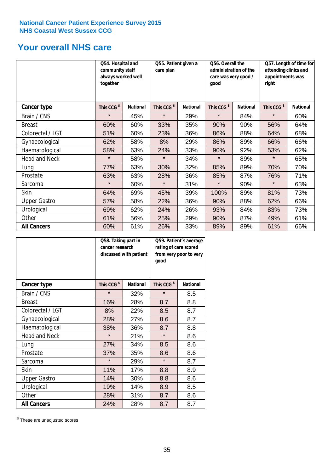# **Your overall NHS care**

|                      | Q54. Hospital and<br>community staff<br>always worked well<br>together |                 | Q55. Patient given a<br>care plan |                 | Q56. Overall the<br>administration of the<br>care was very good /<br>qood |                 | Q57. Length of time for<br>attending clinics and<br>appointments was<br>right |                 |
|----------------------|------------------------------------------------------------------------|-----------------|-----------------------------------|-----------------|---------------------------------------------------------------------------|-----------------|-------------------------------------------------------------------------------|-----------------|
| Cancer type          | This CCG <sup>\$</sup>                                                 | <b>National</b> | This CCG <sup>\$</sup>            | <b>National</b> | This CCG <sup>\$</sup>                                                    | <b>National</b> | This CCG <sup>\$</sup>                                                        | <b>National</b> |
| Brain / CNS          | $\star$                                                                | 45%             | $\star$                           | 29%             | $\star$                                                                   | 84%             | $\star$                                                                       | 60%             |
| <b>Breast</b>        | 60%                                                                    | 60%             | 33%                               | 35%             | 90%                                                                       | 90%             | 56%                                                                           | 64%             |
| Colorectal / LGT     | 51%                                                                    | 60%             | 23%                               | 36%             | 86%                                                                       | 88%             | 64%                                                                           | 68%             |
| Gynaecological       | 62%                                                                    | 58%             | 8%                                | 29%             | 86%                                                                       | 89%             | 66%                                                                           | 66%             |
| Haematological       | 58%                                                                    | 63%             | 24%                               | 33%             | 90%                                                                       | 92%             | 53%                                                                           | 62%             |
| <b>Head and Neck</b> | $\star$                                                                | 58%             | $\star$                           | 34%             | $\star$                                                                   | 89%             | $\star$                                                                       | 65%             |
| Lung                 | 77%                                                                    | 63%             | 30%                               | 32%             | 85%                                                                       | 89%             | 70%                                                                           | 70%             |
| Prostate             | 63%                                                                    | 63%             | 28%                               | 36%             | 85%                                                                       | 87%             | 76%                                                                           | 71%             |
| Sarcoma              | $\star$                                                                | 60%             | $\star$                           | 31%             | $\star$                                                                   | 90%             | $\star$                                                                       | 63%             |
| Skin                 | 64%                                                                    | 69%             | 45%                               | 39%             | 100%                                                                      | 89%             | 81%                                                                           | 73%             |
| <b>Upper Gastro</b>  | 57%                                                                    | 58%             | 22%                               | 36%             | 90%                                                                       | 88%             | 62%                                                                           | 66%             |
| Urological           | 69%                                                                    | 62%             | 24%                               | 26%             | 93%                                                                       | 84%             | 83%                                                                           | 73%             |
| Other                | 61%                                                                    | 56%             | 25%                               | 29%             | 90%                                                                       | 87%             | 49%                                                                           | 61%             |
| <b>All Cancers</b>   | 60%                                                                    | 61%             | 26%                               | 33%             | 89%                                                                       | 89%             | 61%                                                                           | 66%             |

|                      | Q58. Taking part in<br>cancer research | discussed with patient | Q59. Patient's average<br>rating of care scored<br>from very poor to very<br>good |                 |  |
|----------------------|----------------------------------------|------------------------|-----------------------------------------------------------------------------------|-----------------|--|
| <b>Cancer type</b>   | This CCG <sup>\$</sup>                 | <b>National</b>        | This CCG <sup>\$</sup>                                                            | <b>National</b> |  |
| Brain / CNS          | $\star$                                | 32%                    | $\star$                                                                           | 8.5             |  |
| <b>Breast</b>        | 16%                                    | 28%                    | 8.7                                                                               | 8.8             |  |
| Colorectal / LGT     | 8%                                     | 22%                    | 8.5                                                                               | 8.7             |  |
| Gynaecological       | 28%                                    | 27%                    | 8.6                                                                               | 8.7             |  |
| Haematological       | 38%                                    | 36%                    | 8.7                                                                               | 8.8             |  |
| <b>Head and Neck</b> | $\star$                                | 21%                    | $\star$                                                                           | 8.6             |  |
| Lung                 | 27%                                    | 34%                    | 8.5                                                                               | 8.6             |  |
| Prostate             | 37%                                    | 35%                    | 8.6                                                                               | 8.6             |  |
| Sarcoma              | $\star$                                | 29%                    | $\star$                                                                           | 8.7             |  |
| <b>Skin</b>          | 11%                                    | 17%                    | 8.8                                                                               | 8.9             |  |
| <b>Upper Gastro</b>  | 14%                                    | 30%                    | 8.8                                                                               | 8.6             |  |
| Urological           | 19%                                    | 14%                    | 8.9                                                                               | 8.5             |  |
| Other                | 28%                                    | 31%                    | 8.7                                                                               | 8.6             |  |
| <b>All Cancers</b>   | 24%                                    | 28%                    | 8.7                                                                               | 8.7             |  |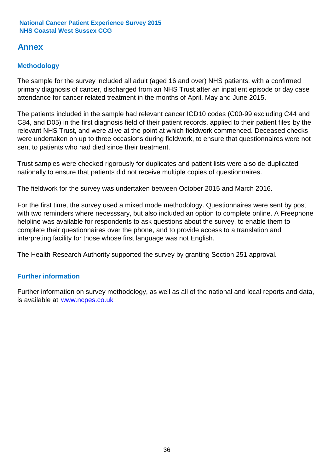# **Annex**

# **Methodology**

The sample for the survey included all adult (aged 16 and over) NHS patients, with a confirmed primary diagnosis of cancer, discharged from an NHS Trust after an inpatient episode or day case attendance for cancer related treatment in the months of April, May and June 2015.

The patients included in the sample had relevant cancer ICD10 codes (C00-99 excluding C44 and C84, and D05) in the first diagnosis field of their patient records, applied to their patient files by the relevant NHS Trust, and were alive at the point at which fieldwork commenced. Deceased checks were undertaken on up to three occasions during fieldwork, to ensure that questionnaires were not sent to patients who had died since their treatment.

Trust samples were checked rigorously for duplicates and patient lists were also de-duplicated nationally to ensure that patients did not receive multiple copies of questionnaires.

The fieldwork for the survey was undertaken between October 2015 and March 2016.

For the first time, the survey used a mixed mode methodology. Questionnaires were sent by post with two reminders where necesssary, but also included an option to complete online. A Freephone helpline was available for respondents to ask questions about the survey, to enable them to complete their questionnaires over the phone, and to provide access to a translation and interpreting facility for those whose first language was not English.

The Health Research Authority supported the survey by granting Section 251 approval.

# **Further information**

Further information on survey methodology, as well as all of the national and local reports and data, is available at www.ncpes.co.uk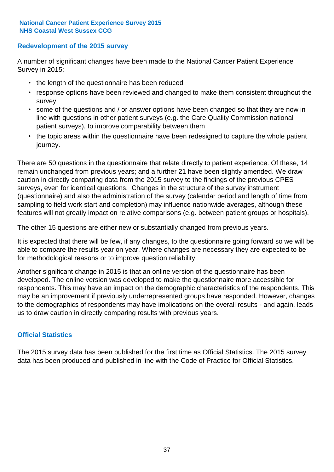# **Redevelopment of the 2015 survey**

A number of significant changes have been made to the National Cancer Patient Experience Survey in 2015:

- the length of the questionnaire has been reduced
- response options have been reviewed and changed to make them consistent throughout the survey
- some of the questions and / or answer options have been changed so that they are now in line with questions in other patient surveys (e.g. the Care Quality Commission national patient surveys), to improve comparability between them
- the topic areas within the questionnaire have been redesigned to capture the whole patient journey.

There are 50 questions in the questionnaire that relate directly to patient experience. Of these, 14 remain unchanged from previous years; and a further 21 have been slightly amended. We draw caution in directly comparing data from the 2015 survey to the findings of the previous CPES surveys, even for identical questions. Changes in the structure of the survey instrument (questionnaire) and also the administration of the survey (calendar period and length of time from sampling to field work start and completion) may influence nationwide averages, although these features will not greatly impact on relative comparisons (e.g. between patient groups or hospitals).

The other 15 questions are either new or substantially changed from previous years.

It is expected that there will be few, if any changes, to the questionnaire going forward so we will be able to compare the results year on year. Where changes are necessary they are expected to be for methodological reasons or to improve question reliability.

Another significant change in 2015 is that an online version of the questionnaire has been developed. The online version was developed to make the questionnaire more accessible for respondents. This may have an impact on the demographic characteristics of the respondents. This may be an improvement if previously underrepresented groups have responded. However, changes to the demographics of respondents may have implications on the overall results - and again, leads us to draw caution in directly comparing results with previous years.

# **Official Statistics**

The 2015 survey data has been published for the first time as Official Statistics. The 2015 survey data has been produced and published in line with the Code of Practice for Official Statistics.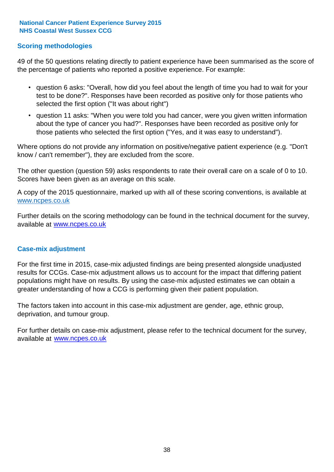# **Scoring methodologies**

49 of the 50 questions relating directly to patient experience have been summarised as the score of the percentage of patients who reported a positive experience. For example:

- question 6 asks: "Overall, how did you feel about the length of time you had to wait for your test to be done?". Responses have been recorded as positive only for those patients who selected the first option ("It was about right")
- question 11 asks: "When you were told you had cancer, were you given written information about the type of cancer you had?". Responses have been recorded as positive only for those patients who selected the first option ("Yes, and it was easy to understand").

Where options do not provide any information on positive/negative patient experience (e.g. "Don't know / can't remember"), they are excluded from the score.

The other question (question 59) asks respondents to rate their overall care on a scale of 0 to 10. Scores have been given as an average on this scale.

A copy of the 2015 questionnaire, marked up with all of these scoring conventions, is available at www.ncpes.co.uk

Further details on the scoring methodology can be found in the technical document for the survey, available at <u>www.ncpes.co.uk</u>

### **Case-mix adjustment**

For the first time in 2015, case-mix adjusted findings are being presented alongside unadjusted results for CCGs. Case-mix adjustment allows us to account for the impact that differing patient populations might have on results. By using the case-mix adjusted estimates we can obtain a greater understanding of how a CCG is performing given their patient population.

The factors taken into account in this case-mix adjustment are gender, age, ethnic group, deprivation, and tumour group.

For further details on case-mix adjustment, please refer to the technical document for the survey, available at www.ncpes.co.uk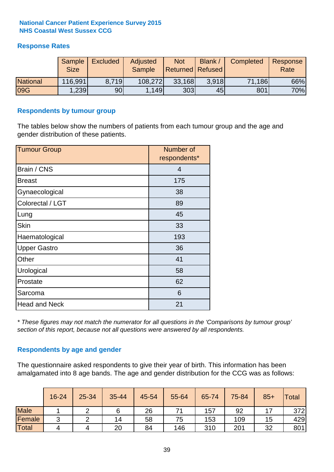# **Response Rates**

|                 | Sample<br><b>Size</b> | <b>Excluded</b> | Adjusted<br><b>Sample</b> | <b>Not</b><br>Returned   Refused | <b>Blank</b> | Completed | Response<br>Rate |
|-----------------|-----------------------|-----------------|---------------------------|----------------------------------|--------------|-----------|------------------|
| <b>National</b> | 116,991               | 8.719           | 108,272                   | 33,168                           | 3.918        | 71,186    | 66%              |
| <b>09G</b>      | .239                  | 90 <sub>l</sub> | 1,149                     | 303                              | 45           | 801       | 70%              |

### **Respondents by tumour group**

The tables below show the numbers of patients from each tumour group and the age and gender distribution of these patients.

| <b>Tumour Group</b>  | Number of<br>respondents* |
|----------------------|---------------------------|
| Brain / CNS          | $\overline{4}$            |
| <b>Breast</b>        | 175                       |
| Gynaecological       | 38                        |
| Colorectal / LGT     | 89                        |
| Lung                 | 45                        |
| <b>Skin</b>          | 33                        |
| Haematological       | 193                       |
| <b>Upper Gastro</b>  | 36                        |
| Other                | 41                        |
| Urological           | 58                        |
| Prostate             | 62                        |
| Sarcoma              | 6                         |
| <b>Head and Neck</b> | 21                        |

*\* These figures may not match the numerator for all questions in the 'Comparisons by tumour group' section of this report, because not all questions were answered by all respondents.*

# **Respondents by age and gender**

The questionnaire asked respondents to give their year of birth. This information has been amalgamated into 8 age bands. The age and gender distribution for the CCG was as follows:

|             | 16-24  | 25-34 | 35-44 | 45-54 | 55-64 | 65-74 | 75-84 | $85+$ | Total |
|-------------|--------|-------|-------|-------|-------|-------|-------|-------|-------|
| <b>Male</b> |        |       |       | 26    |       | 157   | 92    |       | 372   |
| Female      | ◠<br>ັ |       | 14    | 58    | 75    | 153   | 109   | 15    | 429   |
| Total       | 4      |       | 20    | 84    | 146   | 310   | 201   | 32    | 801   |